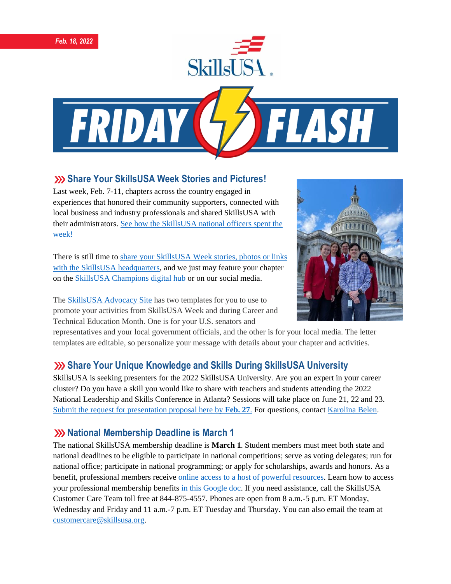



#### **Share Your SkillsUSA Week Stories and Pictures!**

Last week, Feb. 7-11, chapters across the country engaged in experiences that honored their community supporters, connected with local business and industry professionals and shared SkillsUSA with their administrators. [See how the SkillsUSA national officers spent the](https://www.skillsusa.org/student-leaders-advocate-in-washington-for-cte-during-skillsusa-week/) [week!](https://www.skillsusa.org/student-leaders-advocate-in-washington-for-cte-during-skillsusa-week/)

There is still time to [share your SkillsUSA Week stories, photos or links](https://skillsusachampions.org/submit-a-story/)  [with the SkillsUSA headquarters,](https://skillsusachampions.org/submit-a-story/) and we just may feature your chapter on the [SkillsUSA Champions digital hub](http://champions.skillsusa.org/) or on our social media.

The [SkillsUSA Advocacy Site](https://www.congressweb.com/susa/#/) has two templates for you to use to promote your activities from SkillsUSA Week and during Career and Technical Education Month. One is for your U.S. senators and



representatives and your local government officials, and the other is for your local media. The letter templates are editable, so personalize your message with details about your chapter and activities.

## **Share Your Unique Knowledge and Skills During SkillsUSA University**

SkillsUSA is seeking presenters for the 2022 SkillsUSA University. Are you an expert in your career cluster? Do you have a skill you would like to share with teachers and students attending the 2022 National Leadership and Skills Conference in Atlanta? Sessions will take place on June 21, 22 and 23. [Submit the request for presentation proposal here by](https://docs.google.com/forms/d/e/1FAIpQLSdAZNVdpwIoexVeA84Wenhjh0g0_3Km2r7RtNXo6B02Btl1DQ/viewform) **Feb. 27**. For questions, contac[t Karolina Belen.](mailto:kbelen@skillsusa.org)

## **XX** National Membership Deadline is March 1

The national SkillsUSA membership deadline is **March 1**. Student members must meet both state and national deadlines to be eligible to participate in national competitions; serve as voting delegates; run for national office; participate in national programming; or apply for scholarships, awards and honors. As a benefit, professional members receive [online access to a host of powerful resources.](https://www.skillsusa.org/accordions/benefits-of-membership/) Learn how to access your professional membership benefits [in this Google doc.](https://docs.google.com/document/d/1d2EvwsmdelNzm-WK7pTGSokJTbWZXcFDOODai32SGzk/edit) If you need assistance, call the SkillsUSA Customer Care Team toll free at 844-875-4557. Phones are open from 8 a.m.-5 p.m. ET Monday, Wednesday and Friday and 11 a.m.-7 p.m. ET Tuesday and Thursday. You can also email the team at [customercare@skillsusa.org.](mailto:customercare@skillsusa.org)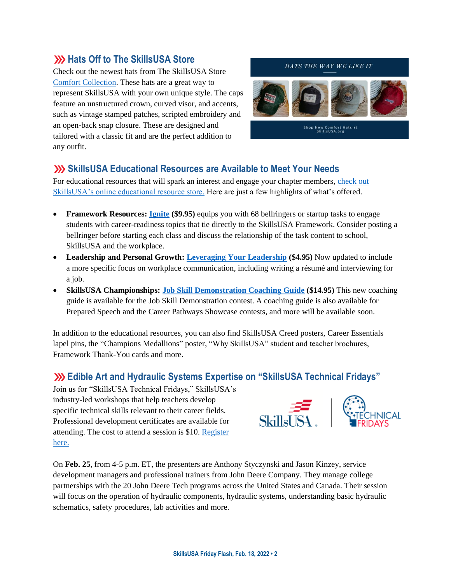## **W** Hats Off to The SkillsUSA Store

Check out the newest hats from The SkillsUSA Store [Comfort Collection.](https://skillsusastore.mybrightsites.com/products?s%5Bf%5D%5Bc%5D%5B%5D=%2FApparel+Room%2FNEW+Comfort+Collection) These hats are a great way to represent SkillsUSA with your own unique style. The caps feature an unstructured crown, curved visor, and accents, such as vintage stamped patches, scripted embroidery and an open-back snap closure. These are designed and tailored with a classic fit and are the perfect addition to any outfit.

#### HATS THE WAY WE LIKE IT



Shop New Comfort Hats at<br>SkillsUSA.org

#### **SkillsUSA Educational Resources are Available to Meet Your Needs**

For educational resources that will spark an interest and engage your chapter members, [check out](https://www.skillsusastore.net/)  [SkillsUSA's online educational resource store.](https://www.skillsusastore.net/) Here are just a few highlights of what's offered.

- **Framework Resources: [Ignite](https://www.skillsusastore.net/ignite.html) (\$9.95)** equips you with 68 bellringers or startup tasks to engage students with career-readiness topics that tie directly to the SkillsUSA Framework. Consider posting a bellringer before starting each class and discuss the relationship of the task content to school, SkillsUSA and the workplace.
- **Leadership and Personal Growth: [Leveraging Your Leadership](https://www.skillsusastore.net/leveraging-your-leadership-with-effective-communication.html) (\$4.95)** Now updated to include a more specific focus on workplace communication, including writing a résumé and interviewing for a job.
- **SkillsUSA Championships: [Job Skill Demonstration Coaching Guide](https://www.skillsusastore.net/job-skill-demonstration-coaching-guide.html) (\$14.95)** This new coaching guide is available for the Job Skill Demonstration contest. A coaching guide is also available for Prepared Speech and the Career Pathways Showcase contests, and more will be available soon.

In addition to the educational resources, you can also find SkillsUSA Creed posters, Career Essentials lapel pins, the "Champions Medallions" poster, "Why SkillsUSA" student and teacher brochures, Framework Thank-You cards and more.

#### **Edible Art and Hydraulic Systems Expertise on "SkillsUSA Technical Fridays"**

Join us for "SkillsUSA Technical Fridays," SkillsUSA's industry-led workshops that help teachers develop specific technical skills relevant to their career fields. Professional development certificates are available for attending. The cost to attend a session is \$10. [Register](https://skillsusa.wufoo.com/forms/love-and-logic-and-technical-fridays-registration)  [here.](https://skillsusa.wufoo.com/forms/love-and-logic-and-technical-fridays-registration)





On **Feb. 25**, from 4-5 p.m. ET, the presenters are Anthony Styczynski and Jason Kinzey, service development managers and professional trainers from John Deere Company. They manage college partnerships with the 20 John Deere Tech programs across the United States and Canada. Their session will focus on the operation of hydraulic components, hydraulic systems, understanding basic hydraulic schematics, safety procedures, lab activities and more.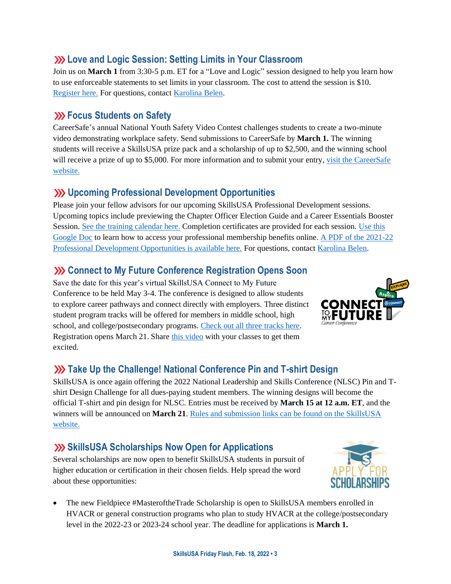## **Love and Logic Session: Setting Limits in Your Classroom**

Join us on **March 1** from 3:30-5 p.m. ET for a "Love and Logic" session designed to help you learn how to use enforceable statements to set limits in your classroom. The cost to attend the session is \$10. [Register here.](https://skillsusa.wufoo.com/forms/love-and-logic-and-technical-fridays-registration) For questions, contact [Karolina Belen.](mailto:kbelen@skillsusa.org)

## **EXECUS** Students on Safety

CareerSafe's annual National Youth Safety Video Contest challenges students to create a two-minute video demonstrating workplace safety. Send submissions to CareerSafe by **March 1.** The winning students will receive a SkillsUSA prize pack and a scholarship of up to \$2,500, and the winning school will receive a prize of up to \$5,000. For more information and to submit your entry, visit the CareerSafe [website.](https://www.careersafeonline.com/scholarships/video-contest)

## **Upcoming Professional Development Opportunities**

Please join your fellow advisors for our upcoming SkillsUSA Professional Development sessions. Upcoming topics include previewing the Chapter Officer Election Guide and a Career Essentials Booster Session. [See the training calendar here.](https://www.skillsusa.org/events-training/) Completion certificates are provided for each session. [Use this](https://docs.google.com/document/d/1d2EvwsmdelNzm-WK7pTGSokJTbWZXcFDOODai32SGzk/edit)  [Google Doc](https://docs.google.com/document/d/1d2EvwsmdelNzm-WK7pTGSokJTbWZXcFDOODai32SGzk/edit) to learn how to access your professional membership benefits online. A PDF of the 2021-22 [Professional Development Opportunities is available here.](https://www.skillsusa.org/wp-content/uploads/2021/09/SkillsUSA-2021-Professional-Development-Opportunities-v9.pdf) For questions, contact [Karolina Belen.](mailto:kbelen@skillsusa.org)

## **XX** Connect to My Future Conference Registration Opens Soon

Save the date for this year's virtual SkillsUSA Connect to My Future Conference to be held May 3-4. The conference is designed to allow students to explore career pathways and connect directly with employers. Three distinct student program tracks will be offered for members in middle school, high school, and college/postsecondary programs. [Check out all three tracks here.](https://www.skillsusa.org/events-training/skillsusa-connect-to-my-future-conference/) Registration opens March 21. Shar[e this video](https://www.youtube.com/watch?v=oVDAfF486S0) with your classes to get them excited.



## **XX** Take Up the Challenge! National Conference Pin and T-shirt Design

SkillsUSA is once again offering the 2022 National Leadership and Skills Conference (NLSC) Pin and Tshirt Design Challenge for all dues-paying student members. The winning designs will become the official T-shirt and pin design for NLSC. Entries must be received by **March 15 at 12 a.m. ET**, and the winners will be announced on **March 21**[. Rules and submission links can be found on the SkillsUSA](https://www.skillsusa.org/competitions/pin-design-challenge/)  [website.](https://www.skillsusa.org/competitions/pin-design-challenge/)

# **SkillsUSA Scholarships Now Open for Applications**

Several scholarships are now open to benefit SkillsUSA students in pursuit of higher education or certification in their chosen fields. Help spread the word about these opportunities:



• The new Fieldpiece #MasteroftheTrade Scholarship is open to SkillsUSA members enrolled in HVACR or general construction programs who plan to study HVACR at the college/postsecondary level in the 2022-23 or 2023-24 school year. The deadline for applications is **March 1.**